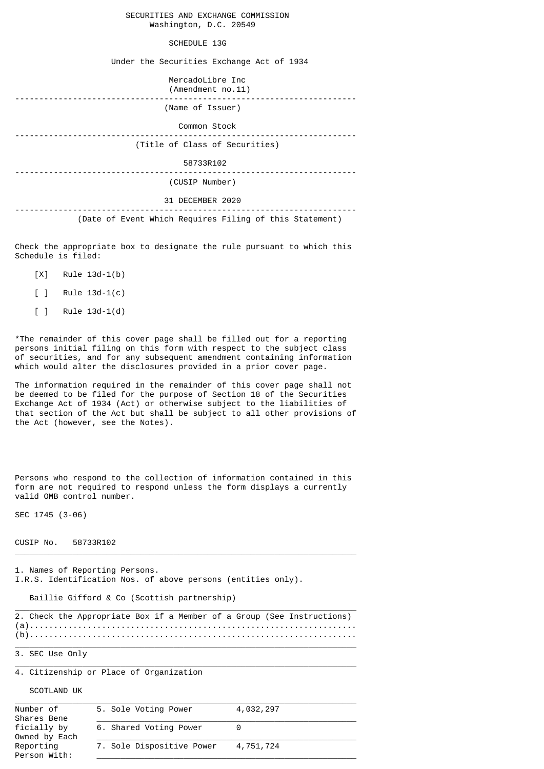SECURITIES AND EXCHANGE COMMISSION Washington, D.C. 20549

## SCHEDULE 13G

Under the Securities Exchange Act of 1934

 MercadoLibre Inc (Amendment no.11) ----------------------------------------------------------------------- (Name of Issuer) Common Stock ----------------------------------------------------------------------- (Title of Class of Securities) 58733R102 ----------------------------------------------------------------------- (CUSIP Number) 31 DECEMBER 2020 ----------------------------------------------------------------------- (Date of Event Which Requires Filing of this Statement)

Check the appropriate box to designate the rule pursuant to which this Schedule is filed:

- [X] Rule 13d-1(b)
- [ ] Rule 13d-1(c)
- [ ] Rule 13d-1(d)

\*The remainder of this cover page shall be filled out for a reporting persons initial filing on this form with respect to the subject class of securities, and for any subsequent amendment containing information which would alter the disclosures provided in a prior cover page.

The information required in the remainder of this cover page shall not be deemed to be filed for the purpose of Section 18 of the Securities Exchange Act of 1934 (Act) or otherwise subject to the liabilities of that section of the Act but shall be subject to all other provisions of the Act (however, see the Notes).

Persons who respond to the collection of information contained in this form are not required to respond unless the form displays a currently valid OMB control number.

SEC 1745 (3-06)

CUSIP No. 58733R102

1. Names of Reporting Persons. I.R.S. Identification Nos. of above persons (entities only).

Baillie Gifford & Co (Scottish partnership)

 $\_$  , and the set of the set of the set of the set of the set of the set of the set of the set of the set of the set of the set of the set of the set of the set of the set of the set of the set of the set of the set of th 2. Check the Appropriate Box if a Member of a Group (See Instructions) (a).................................................................... (b)....................................................................

 $\_$  , and the set of the set of the set of the set of the set of the set of the set of the set of the set of the set of the set of the set of the set of the set of the set of the set of the set of the set of the set of th

 $\_$  , and the set of the set of the set of the set of the set of the set of the set of the set of the set of the set of the set of the set of the set of the set of the set of the set of the set of the set of the set of th

 $\_$  , and the set of the set of the set of the set of the set of the set of the set of the set of the set of the set of the set of the set of the set of the set of the set of the set of the set of the set of the set of th

3. SEC Use Only

4. Citizenship or Place of Organization

SCOTLAND UK

| Number of<br>Shares Bene     | 5. Sole Voting Power      | 4,032,297 |
|------------------------------|---------------------------|-----------|
| ficially by<br>Owned by Each | 6. Shared Voting Power    |           |
| Reporting<br>Person With:    | 7. Sole Dispositive Power | 4,751,724 |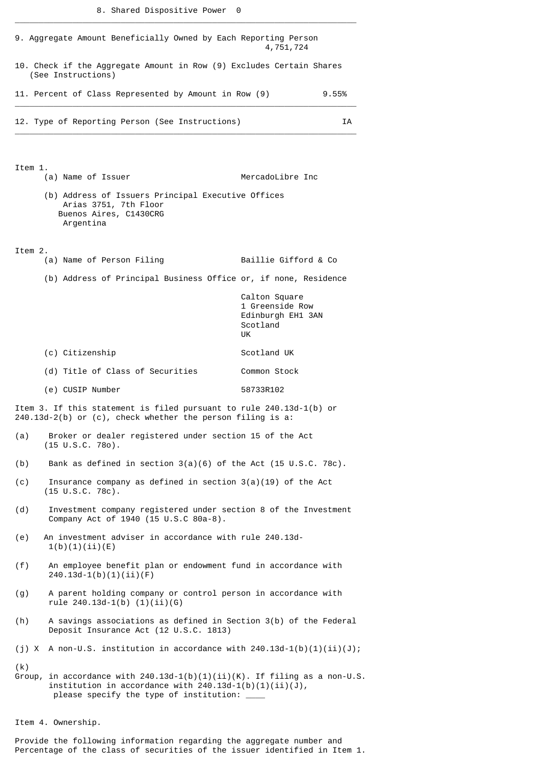\_\_\_\_\_\_\_\_\_\_\_\_\_\_\_\_\_\_\_\_\_\_\_\_\_\_\_\_\_\_\_\_\_\_\_\_\_\_\_\_\_\_\_\_\_\_\_\_\_\_\_\_\_\_\_\_\_\_\_\_\_\_\_\_\_\_\_\_\_\_\_

|                                                       | 9. Aggregate Amount Beneficially Owned by Each Reporting Person                                                                                                                    | 4,751,724                                                               |       |  |  |
|-------------------------------------------------------|------------------------------------------------------------------------------------------------------------------------------------------------------------------------------------|-------------------------------------------------------------------------|-------|--|--|
|                                                       | 10. Check if the Aggregate Amount in Row (9) Excludes Certain Shares<br>(See Instructions)                                                                                         |                                                                         |       |  |  |
| 11. Percent of Class Represented by Amount in Row (9) |                                                                                                                                                                                    |                                                                         | 9.55% |  |  |
|                                                       | 12. Type of Reporting Person (See Instructions)                                                                                                                                    |                                                                         | IΑ    |  |  |
| Item 1.                                               |                                                                                                                                                                                    |                                                                         |       |  |  |
|                                                       | (a) Name of Issuer<br>(b) Address of Issuers Principal Executive Offices                                                                                                           | MercadoLibre Inc                                                        |       |  |  |
|                                                       | Arias 3751, 7th Floor<br>Buenos Aires, C1430CRG<br>Argentina                                                                                                                       |                                                                         |       |  |  |
| Item 2.                                               | (a) Name of Person Filing                                                                                                                                                          | Baillie Gifford & Co                                                    |       |  |  |
|                                                       | (b) Address of Principal Business Office or, if none, Residence                                                                                                                    |                                                                         |       |  |  |
|                                                       |                                                                                                                                                                                    | Calton Square<br>1 Greenside Row<br>Edinburgh EH1 3AN<br>Scotland<br>UK |       |  |  |
|                                                       | (c) Citizenship                                                                                                                                                                    | Scotland UK                                                             |       |  |  |
|                                                       | (d) Title of Class of Securities                                                                                                                                                   | Common Stock                                                            |       |  |  |
|                                                       | (e) CUSIP Number                                                                                                                                                                   | 58733R102                                                               |       |  |  |
|                                                       | Item 3. If this statement is filed pursuant to rule 240.13d-1(b) or<br>$240.13d-2(b)$ or (c), check whether the person filing is a:                                                |                                                                         |       |  |  |
| (a)                                                   | Broker or dealer registered under section 15 of the Act<br>$(15 \tU.S.C. 780)$ .                                                                                                   |                                                                         |       |  |  |
| (b)                                                   | Bank as defined in section $3(a)(6)$ of the Act (15 U.S.C. 78c).                                                                                                                   |                                                                         |       |  |  |
| (c)                                                   | Insurance company as defined in section $3(a)(19)$ of the Act<br>$(15 \text{ U.S.C. } 78c)$ .                                                                                      |                                                                         |       |  |  |
| (d)                                                   | Investment company registered under section 8 of the Investment<br>Company Act of 1940 (15 U.S.C 80a-8).                                                                           |                                                                         |       |  |  |
| (e)                                                   | An investment adviser in accordance with rule 240.13d-<br>1(b)(1)(ii)(E)                                                                                                           |                                                                         |       |  |  |
| (f)                                                   | An employee benefit plan or endowment fund in accordance with<br>$240.13d-1(b)(1)(ii)(F)$                                                                                          |                                                                         |       |  |  |
| (g)                                                   | A parent holding company or control person in accordance with<br>rule $240.13d-1(b)$ $(1)(ii)(6)$                                                                                  |                                                                         |       |  |  |
| (h)                                                   | A savings associations as defined in Section 3(b) of the Federal<br>Deposit Insurance Act (12 U.S.C. 1813)                                                                         |                                                                         |       |  |  |
|                                                       | (j) X A non-U.S. institution in accordance with $240.13d-1(b)(1)(ii)(J);$                                                                                                          |                                                                         |       |  |  |
| (k)<br>Group,                                         | in accordance with $240.13d-1(b)(1)(ii)(K)$ . If filing as a non-U.S.<br>institution in accordance with $240.13d-1(b)(1)(ii)(J)$ ,<br>please specify the type of institution: ____ |                                                                         |       |  |  |

Item 4. Ownership.

Provide the following information regarding the aggregate number and Percentage of the class of securities of the issuer identified in Item 1.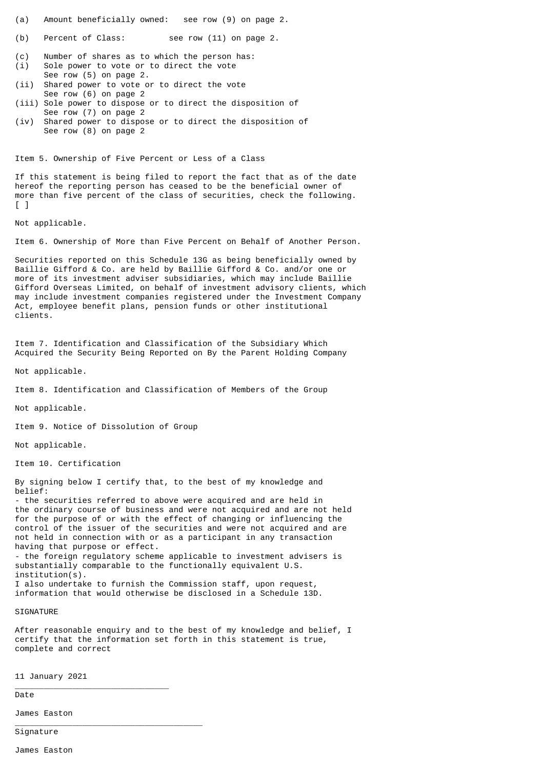(a) Amount beneficially owned: see row (9) on page 2.

(b) Percent of Class: see row (11) on page 2.

(c) Number of shares as to which the person has: (i) Sole power to vote or to direct the vote

- See row (5) on page 2.
- (ii) Shared power to vote or to direct the vote See row (6) on page 2
- (iii) Sole power to dispose or to direct the disposition of See row (7) on page 2
- (iv) Shared power to dispose or to direct the disposition of See row (8) on page 2

Item 5. Ownership of Five Percent or Less of a Class

If this statement is being filed to report the fact that as of the date hereof the reporting person has ceased to be the beneficial owner of more than five percent of the class of securities, check the following. [ ]

Not applicable.

Item 6. Ownership of More than Five Percent on Behalf of Another Person.

Securities reported on this Schedule 13G as being beneficially owned by Baillie Gifford & Co. are held by Baillie Gifford & Co. and/or one or more of its investment adviser subsidiaries, which may include Baillie Gifford Overseas Limited, on behalf of investment advisory clients, which may include investment companies registered under the Investment Company Act, employee benefit plans, pension funds or other institutional clients.

Item 7. Identification and Classification of the Subsidiary Which Acquired the Security Being Reported on By the Parent Holding Company

Not applicable.

Item 8. Identification and Classification of Members of the Group

Not applicable.

Item 9. Notice of Dissolution of Group

Not applicable.

Item 10. Certification

By signing below I certify that, to the best of my knowledge and belief:

- the securities referred to above were acquired and are held in the ordinary course of business and were not acquired and are not held for the purpose of or with the effect of changing or influencing the control of the issuer of the securities and were not acquired and are not held in connection with or as a participant in any transaction having that purpose or effect. - the foreign regulatory scheme applicable to investment advisers is

substantially comparable to the functionally equivalent U.S. institution(s). I also undertake to furnish the Commission staff, upon request,

information that would otherwise be disclosed in a Schedule 13D.

**SIGNATURE** 

After reasonable enquiry and to the best of my knowledge and belief, I certify that the information set forth in this statement is true, complete and correct

11 January 2021

\_\_\_\_\_\_\_\_\_\_\_\_\_\_\_\_\_\_\_\_\_\_\_\_\_\_\_\_\_\_\_\_

\_\_\_\_\_\_\_\_\_\_\_\_\_\_\_\_\_\_\_\_\_\_\_\_\_\_\_\_\_\_\_\_\_\_\_\_\_\_\_

Date

James Easton

Signature

James Easton